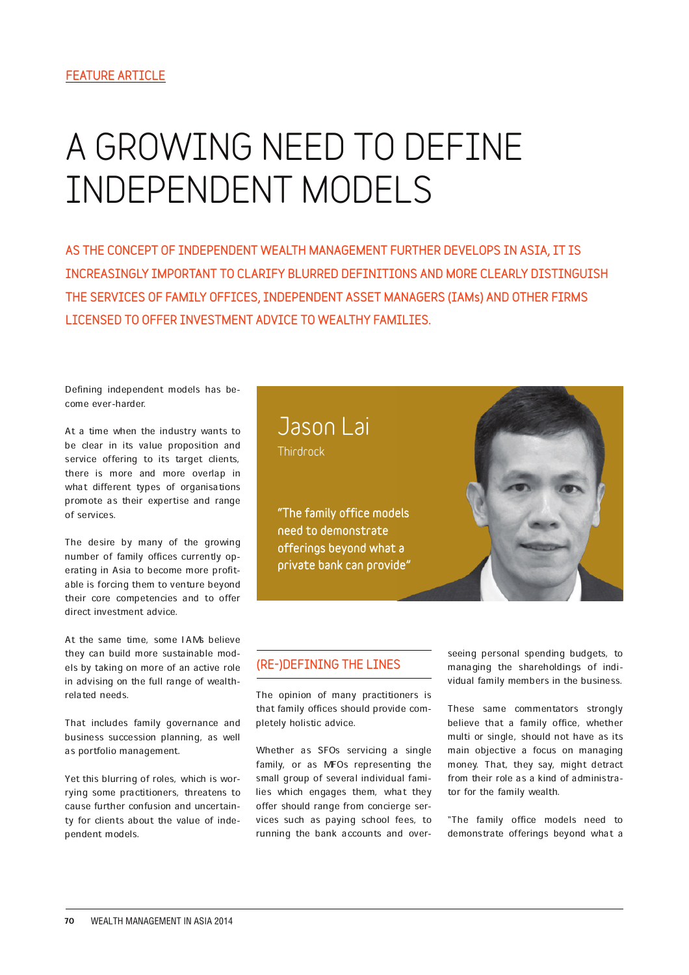# **A GROWING NEED TO DEFINE INDEPENDENT MODELS**

AS THE CONCEPT OF INDEPENDENT WEALTH MANAGEMENT FURTHER DEVELOPS IN ASIA, IT IS INCREASINGLY IMPORTANT TO CLARIFY BLURRED DEFINITIONS AND MORE CLEARLY DISTINGUISH THE SERVICES OF FAMILY OFFICES, INDEPENDENT ASSET MANAGERS (IAMs) AND OTHER FIRMS LICENSED TO OFFER INVESTMENT ADVICE TO WEALTHY FAMILIES.

Defining independent models has become ever-harder.

At a time when the industry wants to be clear in its value proposition and service offering to its target clients, there is more and more overlap in what different types of organisations promote as their expertise and range of services.

The desire by many of the growing number of family offices currently operating in Asia to become more profitable is forcing them to venture beyond their core competencies and to offer direct investment advice.

At the same time, some IAMs believe they can build more sustainable models by taking on more of an active role in advising on the full range of wealthrelated needs.

That includes family governance and business succession planning, as well as portfolio management.

Yet this blurring of roles, which is worrying some practitioners, threatens to cause further confusion and uncertainty for clients about the value of independent models.



"The family office models need to demonstrate offerings beyond what a private bank can provide"



#### (RE-)DEFINING THE LINES

The opinion of many practitioners is that family offices should provide completely holistic advice.

Whether as SFOs servicing a single family, or as MFOs representing the small group of several individual families which engages them, what they offer should range from concierge services such as paying school fees, to running the bank accounts and overseeing personal spending budgets, to managing the shareholdings of individual family members in the business.

These same commentators strongly believe that a family office, whether multi or single, should not have as its main objective a focus on managing money. That, they say, might detract from their role as a kind of administrator for the family wealth.

"The family office models need to demonstrate offerings beyond what a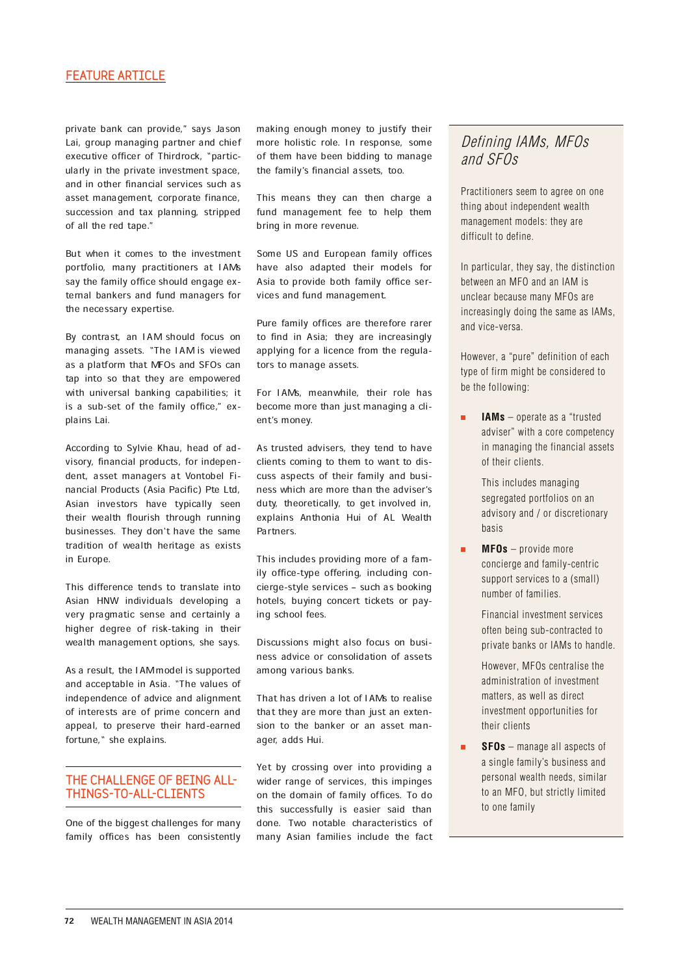#### FEATURE ARTICLE

private bank can provide," says Jason Lai, group managing partner and chief executive officer of Thirdrock, "particularly in the private investment space, and in other financial services such as asset management, corporate finance, succession and tax planning, stripped of all the red tape."

But when it comes to the investment portfolio, many practitioners at IAMs say the family office should engage external bankers and fund managers for the necessary expertise.

By contrast, an IAM should focus on managing assets. ªThe IAM is viewed as a platform that MFOs and SFOs can tap into so that they are empowered with universal banking capabilities; it is a sub-set of the family office," explains Lai.

According to Sylvie Khau, head of advisory, financial products, for independent, asset managers at Vontobel Financial Products (Asia Pacific) Pte Ltd, Asian investors have typically seen their wealth flourish through running businesses. They don`t have the same tradition of wealth heritage as exists in Europe.

This difference tends to translate into Asian HNW individuals developing a very pragmatic sense and certainly a higher degree of risk-taking in their wealth management options, she says.

As a result, the IAM model is supported and acceptable in Asia. ªThe values of independence of advice and alignment of interests are of prime concern and appeal, to preserve their hard-earned fortune," she explains.

#### THE CHALLENGE OF BEING ALL-THINGS-TO-ALL-CLIENTS

One of the biggest challenges for many family offices has been consistently making enough money to justify their more holistic role. In response, some of them have been bidding to manage the family's financial assets, too.

This means they can then charge a fund management fee to help them bring in more revenue.

Some US and European family offices have also adapted their models for Asia to provide both family office services and fund management.

Pure family offices are therefore rarer to find in Asia; they are increasingly applying for a licence from the regulators to manage assets.

For IAMs, meanwhile, their role has become more than just managing a client's money.

As trusted advisers, they tend to have clients coming to them to want to discuss aspects of their family and business which are more than the adviser's duty, theoretically, to get involved in, explains Anthonia Hui of AL Wealth Partners.

This includes providing more of a family office-type offering, including concierge-style services - such as booking hotels, buying concert tickets or paying school fees.

Discussions might also focus on business advice or consolidation of assets among various banks.

That has driven a lot of IAMs to realise that they are more than just an extension to the banker or an asset manager, adds Hui.

Yet by crossing over into providing a wider range of services, this impinges on the domain of family offices. To do this successfully is easier said than done. Two notable characteristics of many Asian families include the fact

## Defining IAMs, MFOs and SFOs

Practitioners seem to agree on one thing about independent wealth management models: they are difficult to define.

In particular, they say, the distinction between an MFO and an IAM is unclear because many MFOs are increasingly doing the same as IAMs, and vice-versa.

However, a "pure" definition of each type of firm might be considered to be the following:

 $\blacksquare$ **IAMs** – operate as a "trusted adviser" with a core competency in managing the financial assets of their clients.

> This includes managing segregated portfolios on an advisory and / or discretionary basis

**MFOs** – provide more concierge and family-centric support services to a (small) number of families.

> Financial investment services often being sub-contracted to private banks or IAMs to handle.

 However, MFOs centralise the administration of investment matters, as well as direct investment opportunities for their clients

**SFOs** – manage all aspects of a single family's business and personal wealth needs, similar to an MFO, but strictly limited to one family